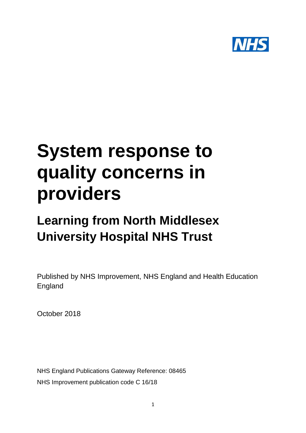

# **System response to quality concerns in providers**

# **Learning from North Middlesex University Hospital NHS Trust**

Published by NHS Improvement, NHS England and Health Education England

October 2018

NHS England Publications Gateway Reference: 08465 NHS Improvement publication code C 16/18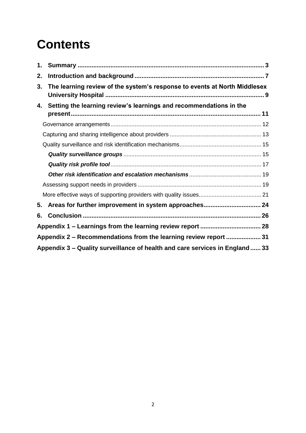# **Contents**

| 1.                                                                           |                                                                           |  |
|------------------------------------------------------------------------------|---------------------------------------------------------------------------|--|
| 2.                                                                           |                                                                           |  |
| 3.                                                                           | The learning review of the system's response to events at North Middlesex |  |
| 4.                                                                           | Setting the learning review's learnings and recommendations in the        |  |
|                                                                              |                                                                           |  |
|                                                                              |                                                                           |  |
|                                                                              |                                                                           |  |
|                                                                              |                                                                           |  |
|                                                                              |                                                                           |  |
|                                                                              |                                                                           |  |
|                                                                              |                                                                           |  |
|                                                                              |                                                                           |  |
| 5.                                                                           |                                                                           |  |
| 6.                                                                           |                                                                           |  |
|                                                                              |                                                                           |  |
| Appendix 2 - Recommendations from the learning review report  31             |                                                                           |  |
| Appendix 3 – Quality surveillance of health and care services in England  33 |                                                                           |  |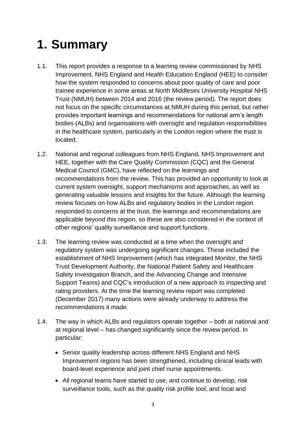# <span id="page-2-0"></span>**1. Summary**

- 1.1. This report provides a response to a learning review commissioned by NHS Improvement, NHS England and Health Education England (HEE) to consider how the system responded to concerns about poor quality of care and poor trainee experience in some areas at North Middlesex University Hospital NHS Trust (NMUH) between 2014 and 2016 (the review period). The report does not focus on the specific circumstances at NMUH during this period, but rather provides important learnings and recommendations for national arm's length bodies (ALBs) and organisations with oversight and regulation responsibilities in the healthcare system, particularly in the London region where the trust is located.
- 1.2. National and regional colleagues from NHS England, NHS Improvement and HEE, together with the Care Quality Commission (CQC) and the General Medical Council (GMC), have reflected on the learnings and recommendations from the review. This has provided an opportunity to look at current system oversight, support mechanisms and approaches, as well as generating valuable lessons and insights for the future. Although the learning review focuses on how ALBs and regulatory bodies in the London region responded to concerns at the trust, the learnings and recommendations are applicable beyond this region, so these are also considered in the context of other regions' quality surveillance and support functions.
- 1.3. The learning review was conducted at a time when the oversight and regulatory system was undergoing significant changes. These included the establishment of NHS Improvement (which has integrated Monitor, the NHS Trust Development Authority, the National Patient Safety and Healthcare Safety Investigation Branch, and the Advancing Change and Intensive Support Teams) and CQC's introduction of a new approach to inspecting and rating providers. At the time the learning review report was completed (December 2017) many actions were already underway to address the recommendations it made.
- 1.4. The way in which ALBs and regulators operate together both at national and at regional level – has changed significantly since the review period. In particular:
	- Senior quality leadership across different NHS England and NHS Improvement regions has been strengthened, including clinical leads with board-level experience and joint chief nurse appointments.
	- All regional teams have started to use, and continue to develop, risk surveillance tools, such as the quality risk profile tool, and local and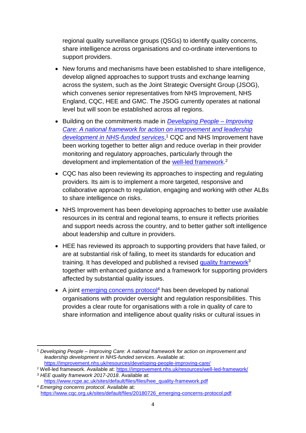regional quality surveillance groups (QSGs) to identify quality concerns, share intelligence across organisations and co-ordinate interventions to support providers.

- New forums and mechanisms have been established to share intelligence, develop aligned approaches to support trusts and exchange learning across the system, such as the Joint Strategic Oversight Group (JSOG), which convenes senior representatives from NHS Improvement, NHS England, CQC, HEE and GMC. The JSOG currently operates at national level but will soon be established across all regions.
- Building on the commitments made in *[Developing People –](https://improvement.nhs.uk/resources/developing-people-improving-care/) Improving [Care: A national framework for action on improvement and leadership](https://improvement.nhs.uk/resources/developing-people-improving-care/)  [development in NHS-funded services](https://improvement.nhs.uk/resources/developing-people-improving-care/)*, <sup>1</sup> CQC and NHS Improvement have been working together to better align and reduce overlap in their provider monitoring and regulatory approaches, particularly through the development and implementation of the **well-led framework.**<sup>2</sup>
- CQC has also been reviewing its approaches to inspecting and regulating providers. Its aim is to implement a more targeted, responsive and collaborative approach to regulation, engaging and working with other ALBs to share intelligence on risks.
- NHS Improvement has been developing approaches to better use available resources in its central and regional teams, to ensure it reflects priorities and support needs across the country, and to better gather soft intelligence about leadership and culture in providers.
- HEE has reviewed its approach to supporting providers that have failed, or are at substantial risk of failing, to meet its standards for education and training. It has developed and published a revised [quality framework](https://www.rcpe.ac.uk/sites/default/files/files/hee_quality-framework.pdf)<sup>3</sup> together with enhanced guidance and a framework for supporting providers affected by substantial quality issues.
- A joint [emerging concerns protocol](https://www.cqc.org.uk/sites/default/files/20180726_emerging-concerns-protocol.pdf)<sup>4</sup> has been developed by national organisations with provider oversight and regulation responsibilities. This provides a clear route for organisations with a role in quality of care to share information and intelligence about quality risks or cultural issues in

<sup>1</sup> <sup>1</sup> *Developing People – Improving Care: A national framework for action on improvement and leadership development in NHS-funded services*. Available at: <https://improvement.nhs.uk/resources/developing-people-improving-care/>

<sup>2</sup> Well-led framework. Available at:<https://improvement.nhs.uk/resources/well-led-framework/> <sup>3</sup> *HEE quality framework 2017-2018*. Available at:

[https://www.rcpe.ac.uk/sites/default/files/files/hee\\_quality-framework.pdf](https://www.rcpe.ac.uk/sites/default/files/files/hee_quality-framework.pdf) <sup>4</sup> *Emerging concerns protocol*. Available at:

[https://www.cqc.org.uk/sites/default/files/20180726\\_emerging-concerns-protocol.pdf](https://www.cqc.org.uk/sites/default/files/20180726_emerging-concerns-protocol.pdf)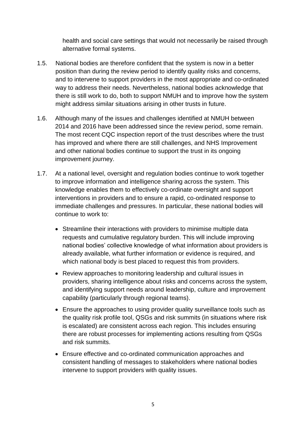health and social care settings that would not necessarily be raised through alternative formal systems.

- 1.5. National bodies are therefore confident that the system is now in a better position than during the review period to identify quality risks and concerns, and to intervene to support providers in the most appropriate and co-ordinated way to address their needs. Nevertheless, national bodies acknowledge that there is still work to do, both to support NMUH and to improve how the system might address similar situations arising in other trusts in future.
- 1.6. Although many of the issues and challenges identified at NMUH between 2014 and 2016 have been addressed since the review period, some remain. The most recent CQC inspection report of the trust describes where the trust has improved and where there are still challenges, and NHS Improvement and other national bodies continue to support the trust in its ongoing improvement journey.
- 1.7. At a national level, oversight and regulation bodies continue to work together to improve information and intelligence sharing across the system. This knowledge enables them to effectively co-ordinate oversight and support interventions in providers and to ensure a rapid, co-ordinated response to immediate challenges and pressures. In particular, these national bodies will continue to work to:
	- Streamline their interactions with providers to minimise multiple data requests and cumulative regulatory burden. This will include improving national bodies' collective knowledge of what information about providers is already available, what further information or evidence is required, and which national body is best placed to request this from providers.
	- Review approaches to monitoring leadership and cultural issues in providers, sharing intelligence about risks and concerns across the system, and identifying support needs around leadership, culture and improvement capability (particularly through regional teams).
	- Ensure the approaches to using provider quality surveillance tools such as the quality risk profile tool, QSGs and risk summits (in situations where risk is escalated) are consistent across each region. This includes ensuring there are robust processes for implementing actions resulting from QSGs and risk summits.
	- Ensure effective and co-ordinated communication approaches and consistent handling of messages to stakeholders where national bodies intervene to support providers with quality issues.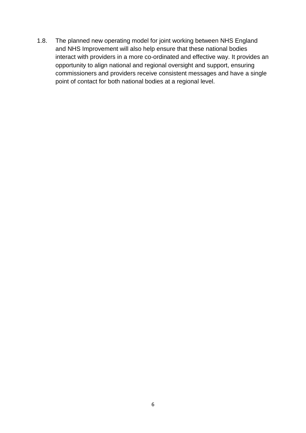1.8. The planned new operating model for joint working between NHS England and NHS Improvement will also help ensure that these national bodies interact with providers in a more co-ordinated and effective way. It provides an opportunity to align national and regional oversight and support, ensuring commissioners and providers receive consistent messages and have a single point of contact for both national bodies at a regional level.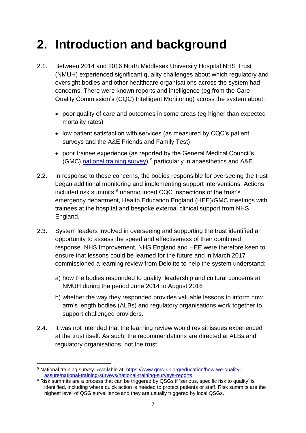### <span id="page-6-0"></span>**2. Introduction and background**

- 2.1. Between 2014 and 2016 North Middlesex University Hospital NHS Trust (NMUH) experienced significant quality challenges about which regulatory and oversight bodies and other healthcare organisations across the system had concerns. There were known reports and intelligence (eg from the Care Quality Commission's (CQC) Intelligent Monitoring) across the system about:
	- poor quality of care and outcomes in some areas (eg higher than expected mortality rates)
	- low patient satisfaction with services (as measured by CQC's patient surveys and the A&E Friends and Family Test)
	- poor trainee experience (as reported by the General Medical Council's (GMC) [national training survey\)](https://www.gmc-uk.org/education/how-we-quality-assure/national-training-surveys/national-training-surveys-reports),<sup>5</sup> particularly in anaesthetics and A&E.
- 2.2. In response to these concerns, the bodies responsible for overseeing the trust began additional monitoring and implementing support interventions. Actions included risk summits, $6$  unannounced CQC inspections of the trust's emergency department, Health Education England (HEE)/GMC meetings with trainees at the hospital and bespoke external clinical support from NHS England.
- 2.3. System leaders involved in overseeing and supporting the trust identified an opportunity to assess the speed and effectiveness of their combined response. NHS Improvement, NHS England and HEE were therefore keen to ensure that lessons could be learned for the future and in March 2017 commissioned a learning review from Deloitte to help the system understand:
	- a) how the bodies responded to quality, leadership and cultural concerns at NMUH during the period June 2014 to August 2016
	- b) whether the way they responded provides valuable lessons to inform how arm's length bodies (ALBs) and regulatory organisations work together to support challenged providers.
- 2.4. It was not intended that the learning review would revisit issues experienced at the trust itself. As such, the recommendations are directed at ALBs and regulatory organisations, not the trust.

<sup>1</sup> <sup>5</sup> National training survey. Available at: [https://www.gmc-uk.org/education/how-we-quality](https://www.gmc-uk.org/education/how-we-quality-assure/national-training-surveys/national-training-surveys-reports)[assure/national-training-surveys/national-training-surveys-reports](https://www.gmc-uk.org/education/how-we-quality-assure/national-training-surveys/national-training-surveys-reports)

 $6$  Risk summits are a process that can be triggered by QSGs if 'serious, specific risk to quality' is identified, including where quick action is needed to protect patients or staff. Risk summits are the highest level of QSG surveillance and they are usually triggered by local QSGs.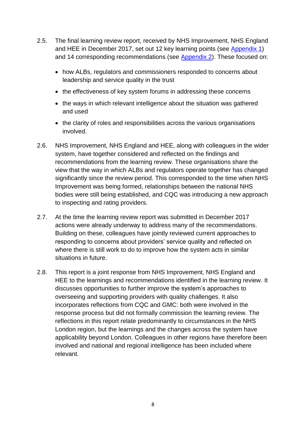- 2.5. The final learning review report, received by NHS Improvement, NHS England and HEE in December 2017, set out 12 key learning points (see [Appendix 1\)](#page-27-0) and 14 corresponding recommendations (see [Appendix 2\)](#page-30-0). These focused on:
	- how ALBs, regulators and commissioners responded to concerns about leadership and service quality in the trust
	- the effectiveness of key system forums in addressing these concerns
	- the ways in which relevant intelligence about the situation was gathered and used
	- the clarity of roles and responsibilities across the various organisations involved.
- 2.6. NHS Improvement, NHS England and HEE, along with colleagues in the wider system, have together considered and reflected on the findings and recommendations from the learning review. These organisations share the view that the way in which ALBs and regulators operate together has changed significantly since the review period. This corresponded to the time when NHS Improvement was being formed, relationships between the national NHS bodies were still being established, and CQC was introducing a new approach to inspecting and rating providers.
- 2.7. At the time the learning review report was submitted in December 2017 actions were already underway to address many of the recommendations. Building on these, colleagues have jointly reviewed current approaches to responding to concerns about providers' service quality and reflected on where there is still work to do to improve how the system acts in similar situations in future.
- 2.8. This report is a joint response from NHS Improvement, NHS England and HEE to the learnings and recommendations identified in the learning review. It discusses opportunities to further improve the system's approaches to overseeing and supporting providers with quality challenges. It also incorporates reflections from CQC and GMC: both were involved in the response process but did not formally commission the learning review. The reflections in this report relate predominantly to circumstances in the NHS London region, but the learnings and the changes across the system have applicability beyond London. Colleagues in other regions have therefore been involved and national and regional intelligence has been included where relevant.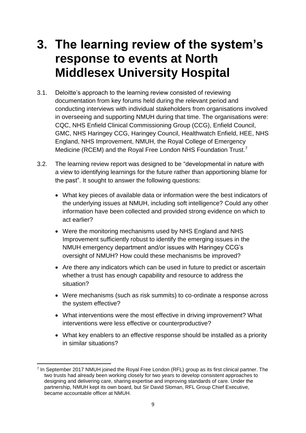### <span id="page-8-0"></span>**3. The learning review of the system's response to events at North Middlesex University Hospital**

- 3.1. Deloitte's approach to the learning review consisted of reviewing documentation from key forums held during the relevant period and conducting interviews with individual stakeholders from organisations involved in overseeing and supporting NMUH during that time. The organisations were: CQC, NHS Enfield Clinical Commissioning Group (CCG), Enfield Council, GMC, NHS Haringey CCG, Haringey Council, Healthwatch Enfield, HEE, NHS England, NHS Improvement, NMUH, the Royal College of Emergency Medicine (RCEM) and the Royal Free London NHS Foundation Trust.<sup>7</sup>
- 3.2. The learning review report was designed to be "developmental in nature with a view to identifying learnings for the future rather than apportioning blame for the past". It sought to answer the following questions:
	- What key pieces of available data or information were the best indicators of the underlying issues at NMUH, including soft intelligence? Could any other information have been collected and provided strong evidence on which to act earlier?
	- Were the monitoring mechanisms used by NHS England and NHS Improvement sufficiently robust to identify the emerging issues in the NMUH emergency department and/or issues with Haringey CCG's oversight of NMUH? How could these mechanisms be improved?
	- Are there any indicators which can be used in future to predict or ascertain whether a trust has enough capability and resource to address the situation?
	- Were mechanisms (such as risk summits) to co-ordinate a response across the system effective?
	- What interventions were the most effective in driving improvement? What interventions were less effective or counterproductive?
	- What key enablers to an effective response should be installed as a priority in similar situations?

<sup>1</sup> 7 In September 2017 NMUH joined the Royal Free London (RFL) group as its first clinical partner. The two trusts had already been working closely for two years to develop consistent approaches to designing and delivering care, sharing expertise and improving standards of care. Under the partnership, NMUH kept its own board, but Sir David Sloman, RFL Group Chief Executive, became accountable officer at NMUH.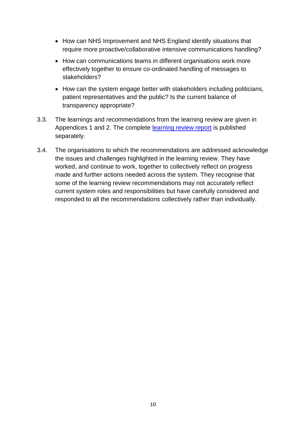- How can NHS Improvement and NHS England identify situations that require more proactive/collaborative intensive communications handling?
- How can communications teams in different organisations work more effectively together to ensure co-ordinated handling of messages to stakeholders?
- How can the system engage better with stakeholders including politicians, patient representatives and the public? Is the current balance of transparency appropriate?
- 3.3. The learnings and recommendations from the learning review are given in Appendices 1 and 2. The complete [learning review](https://improvement.nhs.uk/news-alerts/nmuh-learning-review) report is published separately.
- 3.4. The organisations to which the recommendations are addressed acknowledge the issues and challenges highlighted in the learning review. They have worked, and continue to work, together to collectively reflect on progress made and further actions needed across the system. They recognise that some of the learning review recommendations may not accurately reflect current system roles and responsibilities but have carefully considered and responded to all the recommendations collectively rather than individually.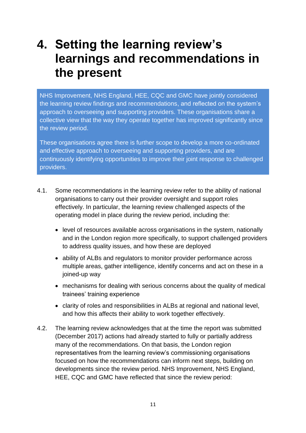### <span id="page-10-0"></span>**4. Setting the learning review's learnings and recommendations in the present**

NHS Improvement, NHS England, HEE, CQC and GMC have jointly considered the learning review findings and recommendations, and reflected on the system's approach to overseeing and supporting providers. These organisations share a collective view that the way they operate together has improved significantly since the review period.

These organisations agree there is further scope to develop a more co-ordinated and effective approach to overseeing and supporting providers, and are continuously identifying opportunities to improve their joint response to challenged providers.

- 4.1. Some recommendations in the learning review refer to the ability of national organisations to carry out their provider oversight and support roles effectively. In particular, the learning review challenged aspects of the operating model in place during the review period, including the:
	- level of resources available across organisations in the system, nationally and in the London region more specifically, to support challenged providers to address quality issues, and how these are deployed
	- ability of ALBs and regulators to monitor provider performance across multiple areas, gather intelligence, identify concerns and act on these in a joined-up way
	- mechanisms for dealing with serious concerns about the quality of medical trainees' training experience
	- clarity of roles and responsibilities in ALBs at regional and national level, and how this affects their ability to work together effectively.
- 4.2. The learning review acknowledges that at the time the report was submitted (December 2017) actions had already started to fully or partially address many of the recommendations. On that basis, the London region representatives from the learning review's commissioning organisations focused on how the recommendations can inform next steps, building on developments since the review period. NHS Improvement, NHS England, HEE, CQC and GMC have reflected that since the review period: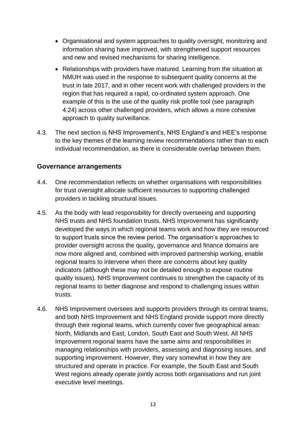- Organisational and system approaches to quality oversight, monitoring and information sharing have improved, with strengthened support resources and new and revised mechanisms for sharing intelligence.
- Relationships with providers have matured. Learning from the situation at NMUH was used in the response to subsequent quality concerns at the trust in late 2017, and in other recent work with challenged providers in the region that has required a rapid, co-ordinated system approach. One example of this is the use of the quality risk profile tool (see paragraph 4.24) across other challenged providers, which allows a more cohesive approach to quality surveillance.
- 4.3. The next section is NHS Improvement's, NHS England's and HEE's response to the key themes of the learning review recommendations rather than to each individual recommendation, as there is considerable overlap between them.

#### <span id="page-11-0"></span>**Governance arrangements**

- 4.4. One recommendation reflects on whether organisations with responsibilities for trust oversight allocate sufficient resources to supporting challenged providers in tackling structural issues.
- 4.5. As the body with lead responsibility for directly overseeing and supporting NHS trusts and NHS foundation trusts, NHS Improvement has significantly developed the ways in which regional teams work and how they are resourced to support trusts since the review period. The organisation's approaches to provider oversight across the quality, governance and finance domains are now more aligned and, combined with improved partnership working, enable regional teams to intervene when there are concerns about key quality indicators (although these may not be detailed enough to expose routine quality issues). NHS Improvement continues to strengthen the capacity of its regional teams to better diagnose and respond to challenging issues within trusts.
- 4.6. NHS Improvement oversees and supports providers through its central teams, and both NHS Improvement and NHS England provide support more directly through their regional teams, which currently cover five geographical areas: North, Midlands and East, London, South East and South West. All NHS Improvement regional teams have the same aims and responsibilities in managing relationships with providers, assessing and diagnosing issues, and supporting improvement. However, they vary somewhat in how they are structured and operate in practice. For example, the South East and South West regions already operate jointly across both organisations and run joint executive level meetings.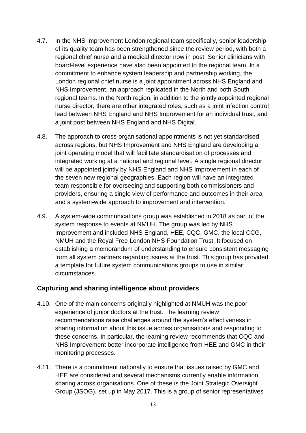- 4.7. In the NHS Improvement London regional team specifically, senior leadership of its quality team has been strengthened since the review period, with both a regional chief nurse and a medical director now in post. Senior clinicians with board-level experience have also been appointed to the regional team. In a commitment to enhance system leadership and partnership working, the London regional chief nurse is a joint appointment across NHS England and NHS Improvement, an approach replicated in the North and both South regional teams. In the North region, in addition to the jointly appointed regional nurse director, there are other integrated roles, such as a joint infection control lead between NHS England and NHS Improvement for an individual trust, and a joint post between NHS England and NHS Digital.
- 4.8. The approach to cross-organisational appointments is not yet standardised across regions, but NHS Improvement and NHS England are developing a joint operating model that will facilitate standardisation of processes and integrated working at a national and regional level. A single regional director will be appointed jointly by NHS England and NHS Improvement in each of the seven new regional geographies. Each region will have an integrated team responsible for overseeing and supporting both commissioners and providers, ensuring a single view of performance and outcomes in their area and a system-wide approach to improvement and intervention.
- 4.9. A system-wide communications group was established in 2018 as part of the system response to events at NMUH. The group was led by NHS Improvement and included NHS England, HEE, CQC, GMC, the local CCG, NMUH and the Royal Free London NHS Foundation Trust. It focused on establishing a memorandum of understanding to ensure consistent messaging from all system partners regarding issues at the trust. This group has provided a template for future system communications groups to use in similar circumstances.

#### <span id="page-12-0"></span>**Capturing and sharing intelligence about providers**

- 4.10. One of the main concerns originally highlighted at NMUH was the poor experience of junior doctors at the trust. The learning review recommendations raise challenges around the system's effectiveness in sharing information about this issue across organisations and responding to these concerns. In particular, the learning review recommends that CQC and NHS Improvement better incorporate intelligence from HEE and GMC in their monitoring processes.
- 4.11. There is a commitment nationally to ensure that issues raised by GMC and HEE are considered and several mechanisms currently enable information sharing across organisations. One of these is the Joint Strategic Oversight Group (JSOG), set up in May 2017. This is a group of senior representatives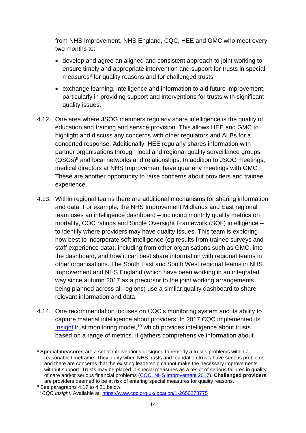from NHS Improvement, NHS England, CQC, HEE and GMC who meet every two months to:

- develop and agree an aligned and consistent approach to joint working to ensure timely and appropriate intervention and support for trusts in special measures<sup>8</sup> for quality reasons and for challenged trusts
- exchange learning, intelligence and information to aid future improvement, particularly in providing support and interventions for trusts with significant quality issues.
- 4.12. One area where JSOG members regularly share intelligence is the quality of education and training and service provision. This allows HEE and GMC to highlight and discuss any concerns with other regulators and ALBs for a concerted response. Additionally, HEE regularly shares information with partner organisations through local and regional quality surveillance groups  $(QSGs)^9$  and local networks and relationships. In addition to JSOG meetings, medical directors at NHS Improvement have quarterly meetings with GMC. These are another opportunity to raise concerns about providers and trainee experience.
- 4.13. Within regional teams there are additional mechanisms for sharing information and data. For example, the NHS Improvement Midlands and East regional team uses an intelligence dashboard – including monthly quality metrics on mortality, CQC ratings and Single Oversight Framework (SOF) intelligence – to identify where providers may have quality issues. This team is exploring how best to incorporate soft intelligence (eg results from trainee surveys and staff experience data), including from other organisations such as GMC, into the dashboard, and how it can best share information with regional teams in other organisations. The South East and South West regional teams in NHS Improvement and NHS England (which have been working in an integrated way since autumn 2017 as a precursor to the joint working arrangements being planned across all regions) use a similar quality dashboard to share relevant information and data.
- 4.14. One recommendation focuses on CQC's monitoring system and its ability to capture material intelligence about providers. In 2017 CQC implemented its [Insight](https://www.cqc.org.uk/location/1-2650278775) trust monitoring model,<sup>10</sup> which provides intelligence about trusts based on a range of metrics. It gathers comprehensive information about

1

<sup>8</sup> **Special measures** are a set of interventions designed to remedy a trust's problems within a reasonable timeframe. They apply when NHS trusts and foundation trusts have serious problems and there are concerns that the existing leadership cannot make the necessary improvements without support. Trusts may be placed in special measures as a result of serious failures in quality of care and/or serious financial problems [\(CQC, NHS Improvement 2017\)](https://improvement.nhs.uk/documents/2158/special_measures_guide_quality_dec2017.pdf). **Challenged providers** are providers deemed to be at risk of entering special measures for quality reasons.

<sup>&</sup>lt;sup>9</sup> See paragraphs 4.17 to 4.21 below.

<sup>10</sup> *CQC Insight*. Available at:<https://www.cqc.org.uk/location/1-2650278775>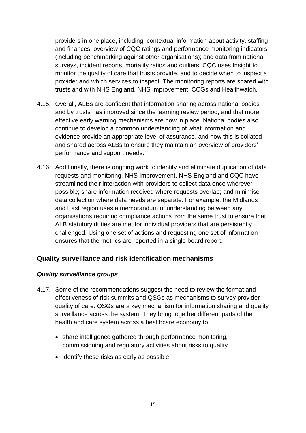providers in one place, including: contextual information about activity, staffing and finances; overview of CQC ratings and performance monitoring indicators (including benchmarking against other organisations); and data from national surveys, incident reports, mortality ratios and outliers. CQC uses Insight to monitor the quality of care that trusts provide, and to decide when to inspect a provider and which services to inspect. The monitoring reports are shared with trusts and with NHS England, NHS Improvement, CCGs and Healthwatch.

- 4.15. Overall, ALBs are confident that information sharing across national bodies and by trusts has improved since the learning review period, and that more effective early warning mechanisms are now in place. National bodies also continue to develop a common understanding of what information and evidence provide an appropriate level of assurance, and how this is collated and shared across ALBs to ensure they maintain an overview of providers' performance and support needs.
- 4.16. Additionally, there is ongoing work to identify and eliminate duplication of data requests and monitoring. NHS Improvement, NHS England and CQC have streamlined their interaction with providers to collect data once wherever possible; share information received where requests overlap; and minimise data collection where data needs are separate. For example, the Midlands and East region uses a memorandum of understanding between any organisations requiring compliance actions from the same trust to ensure that ALB statutory duties are met for individual providers that are persistently challenged. Using one set of actions and requesting one set of information ensures that the metrics are reported in a single board report.

#### <span id="page-14-0"></span>**Quality surveillance and risk identification mechanisms**

#### <span id="page-14-1"></span>*Quality surveillance groups*

- 4.17. Some of the recommendations suggest the need to review the format and effectiveness of risk summits and QSGs as mechanisms to survey provider quality of care. QSGs are a key mechanism for information sharing and quality surveillance across the system. They bring together different parts of the health and care system across a healthcare economy to:
	- share intelligence gathered through performance monitoring, commissioning and regulatory activities about risks to quality
	- identify these risks as early as possible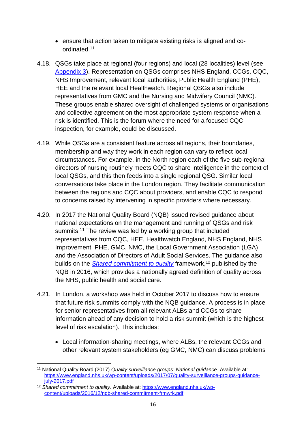- ensure that action taken to mitigate existing risks is aligned and coordinated.<sup>11</sup>
- 4.18. QSGs take place at regional (four regions) and local (28 localities) level (see [Appendix 3\)](#page-32-0). Representation on QSGs comprises NHS England, CCGs, CQC, NHS Improvement, relevant local authorities, Public Health England (PHE), HEE and the relevant local Healthwatch. Regional QSGs also include representatives from GMC and the Nursing and Midwifery Council (NMC). These groups enable shared oversight of challenged systems or organisations and collective agreement on the most appropriate system response when a risk is identified. This is the forum where the need for a focused CQC inspection, for example, could be discussed.
- 4.19. While QSGs are a consistent feature across all regions, their boundaries, membership and way they work in each region can vary to reflect local circumstances. For example, in the North region each of the five sub-regional directors of nursing routinely meets CQC to share intelligence in the context of local QSGs, and this then feeds into a single regional QSG. Similar local conversations take place in the London region. They facilitate communication between the regions and CQC about providers, and enable CQC to respond to concerns raised by intervening in specific providers where necessary.
- 4.20. In 2017 the National Quality Board (NQB) issued revised guidance about national expectations on the management and running of QSGs and risk summits.<sup>11</sup> The review was led by a working group that included representatives from CQC, HEE, Healthwatch England, NHS England, NHS Improvement, PHE, GMC, NMC, the Local Government Association (LGA) and the Association of Directors of Adult Social Services. The guidance also builds on the *[Shared commitment to quality](https://www.england.nhs.uk/wp-content/uploads/2016/12/nqb-shared-commitment-frmwrk.pdf)* framework.<sup>12</sup> published by the NQB in 2016, which provides a nationally agreed definition of quality across the NHS, public health and social care.
- 4.21. In London, a workshop was held in October 2017 to discuss how to ensure that future risk summits comply with the NQB guidance. A process is in place for senior representatives from all relevant ALBs and CCGs to share information ahead of any decision to hold a risk summit (which is the highest level of risk escalation). This includes:
	- Local information-sharing meetings, where ALBs, the relevant CCGs and other relevant system stakeholders (eg GMC, NMC) can discuss problems

<sup>1</sup> <sup>11</sup> National Quality Board (2017) *Quality surveillance groups: National guidance*. Available at: [https://www.england.nhs.uk/wp-content/uploads/2017/07/quality-surveillance-groups-guidance](https://www.england.nhs.uk/wp-content/uploads/2017/07/quality-surveillance-groups-guidance-july-2017.pdf)[july-2017.pdf](https://www.england.nhs.uk/wp-content/uploads/2017/07/quality-surveillance-groups-guidance-july-2017.pdf)

<sup>12</sup> *Shared commitment to quality*. Available at: [https://www.england.nhs.uk/wp](https://www.england.nhs.uk/wp-content/uploads/2016/12/nqb-shared-commitment-frmwrk.pdf)[content/uploads/2016/12/nqb-shared-commitment-frmwrk.pdf](https://www.england.nhs.uk/wp-content/uploads/2016/12/nqb-shared-commitment-frmwrk.pdf)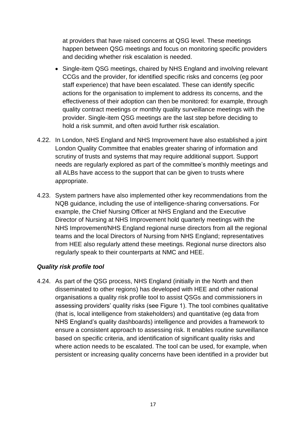at providers that have raised concerns at QSG level. These meetings happen between QSG meetings and focus on monitoring specific providers and deciding whether risk escalation is needed.

- Single-item QSG meetings, chaired by NHS England and involving relevant CCGs and the provider, for identified specific risks and concerns (eg poor staff experience) that have been escalated. These can identify specific actions for the organisation to implement to address its concerns, and the effectiveness of their adoption can then be monitored: for example, through quality contract meetings or monthly quality surveillance meetings with the provider. Single-item QSG meetings are the last step before deciding to hold a risk summit, and often avoid further risk escalation.
- 4.22. In London, NHS England and NHS Improvement have also established a joint London Quality Committee that enables greater sharing of information and scrutiny of trusts and systems that may require additional support. Support needs are regularly explored as part of the committee's monthly meetings and all ALBs have access to the support that can be given to trusts where appropriate.
- 4.23. System partners have also implemented other key recommendations from the NQB guidance, including the use of intelligence-sharing conversations. For example, the Chief Nursing Officer at NHS England and the Executive Director of Nursing at NHS Improvement hold quarterly meetings with the NHS Improvement/NHS England regional nurse directors from all the regional teams and the local Directors of Nursing from NHS England; representatives from HEE also regularly attend these meetings. Regional nurse directors also regularly speak to their counterparts at NMC and HEE.

#### <span id="page-16-0"></span>*Quality risk profile tool*

4.24. As part of the QSG process, NHS England (initially in the North and then disseminated to other regions) has developed with HEE and other national organisations a quality risk profile tool to assist QSGs and commissioners in assessing providers' quality risks (see Figure 1). The tool combines qualitative (that is, local intelligence from stakeholders) and quantitative (eg data from NHS England's quality dashboards) intelligence and provides a framework to ensure a consistent approach to assessing risk. It enables routine surveillance based on specific criteria, and identification of significant quality risks and where action needs to be escalated. The tool can be used, for example, when persistent or increasing quality concerns have been identified in a provider but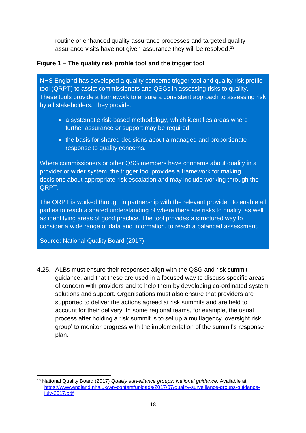routine or enhanced quality assurance processes and targeted quality assurance visits have not given assurance they will be resolved.<sup>13</sup>

#### **Figure 1 – The quality risk profile tool and the trigger tool**

NHS England has developed a quality concerns trigger tool and quality risk profile tool (QRPT) to assist commissioners and QSGs in assessing risks to quality. These tools provide a framework to ensure a consistent approach to assessing risk by all stakeholders. They provide:

- a systematic risk-based methodology, which identifies areas where further assurance or support may be required
- the basis for shared decisions about a managed and proportionate response to quality concerns.

Where commissioners or other QSG members have concerns about quality in a provider or wider system, the trigger tool provides a framework for making decisions about appropriate risk escalation and may include working through the QRPT.

The QRPT is worked through in partnership with the relevant provider, to enable all parties to reach a shared understanding of where there are risks to quality, as well as identifying areas of good practice. The tool provides a structured way to consider a wide range of data and information, to reach a balanced assessment.

Source: [National Quality Board](https://www.england.nhs.uk/wp-content/uploads/2017/07/quality-surveillance-groups-guidance-july-2017.pdf) (2017)

4.25. ALBs must ensure their responses align with the QSG and risk summit guidance, and that these are used in a focused way to discuss specific areas of concern with providers and to help them by developing co-ordinated system solutions and support. Organisations must also ensure that providers are supported to deliver the actions agreed at risk summits and are held to account for their delivery. In some regional teams, for example, the usual process after holding a risk summit is to set up a multiagency 'oversight risk group' to monitor progress with the implementation of the summit's response plan.

 $\overline{\phantom{a}}$ <sup>13</sup> National Quality Board (2017) *Quality surveillance groups: National guidance*. Available at: [https://www.england.nhs.uk/wp-content/uploads/2017/07/quality-surveillance-groups-guidance](https://www.england.nhs.uk/wp-content/uploads/2017/07/quality-surveillance-groups-guidance-july-2017.pdf)[july-2017.pdf](https://www.england.nhs.uk/wp-content/uploads/2017/07/quality-surveillance-groups-guidance-july-2017.pdf)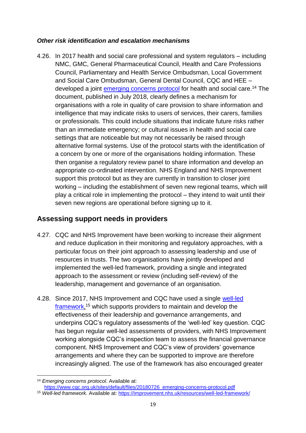#### <span id="page-18-0"></span>*Other risk identification and escalation mechanisms*

4.26. In 2017 health and social care professional and system regulators – including NMC, GMC, General Pharmaceutical Council, Health and Care Professions Council, Parliamentary and Health Service Ombudsman, Local Government and Social Care Ombudsman, General Dental Council, CQC and HEE – developed a joint [emerging concerns protocol](https://www.cqc.org.uk/sites/default/files/20180726_emerging-concerns-protocol.pdf) for health and social care.<sup>14</sup> The document, published in July 2018, clearly defines a mechanism for organisations with a role in quality of care provision to share information and intelligence that may indicate risks to users of services, their carers, families or professionals. This could include situations that indicate future risks rather than an immediate emergency; or cultural issues in health and social care settings that are noticeable but may not necessarily be raised through alternative formal systems. Use of the protocol starts with the identification of a concern by one or more of the organisations holding information. These then organise a regulatory review panel to share information and develop an appropriate co-ordinated intervention. NHS England and NHS Improvement support this protocol but as they are currently in transition to closer joint working – including the establishment of seven new regional teams, which will play a critical role in implementing the protocol – they intend to wait until their seven new regions are operational before signing up to it.

#### <span id="page-18-1"></span>**Assessing support needs in providers**

- 4.27. CQC and NHS Improvement have been working to increase their alignment and reduce duplication in their monitoring and regulatory approaches, with a particular focus on their joint approach to assessing leadership and use of resources in trusts. The two organisations have jointly developed and implemented the well-led framework, providing a single and integrated approach to the assessment or review (including self-review) of the leadership, management and governance of an organisation.
- 4.28. Since 2017, NHS Improvement and CQC have used a single [well-led](https://improvement.nhs.uk/resources/well-led-framework/)  [framework,](https://improvement.nhs.uk/resources/well-led-framework/)<sup>15</sup> which supports providers to maintain and develop the effectiveness of their leadership and governance arrangements, and underpins CQC's regulatory assessments of the 'well-led' key question. CQC has begun regular well-led assessments of providers, with NHS Improvement working alongside CQC's inspection team to assess the financial governance component. NHS Improvement and CQC's view of providers' governance arrangements and where they can be supported to improve are therefore increasingly aligned. The use of the framework has also encouraged greater

 $\overline{\phantom{a}}$ <sup>14</sup> *Emerging concerns protocol*. Available at:

[https://www.cqc.org.uk/sites/default/files/20180726\\_emerging-concerns-protocol.pdf](https://www.cqc.org.uk/sites/default/files/20180726_emerging-concerns-protocol.pdf)

<sup>15</sup> *Well-led framework*. Available at:<https://improvement.nhs.uk/resources/well-led-framework/>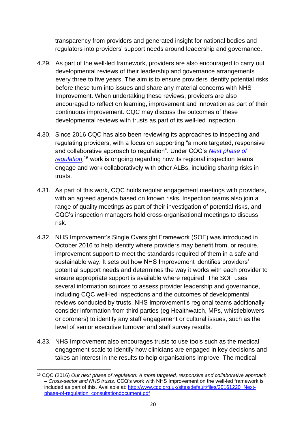transparency from providers and generated insight for national bodies and regulators into providers' support needs around leadership and governance.

- 4.29. As part of the well-led framework, providers are also encouraged to carry out developmental reviews of their leadership and governance arrangements every three to five years. The aim is to ensure providers identify potential risks before these turn into issues and share any material concerns with NHS Improvement. When undertaking these reviews, providers are also encouraged to reflect on learning, improvement and innovation as part of their continuous improvement. CQC may discuss the outcomes of these developmental reviews with trusts as part of its well-led inspection.
- 4.30. Since 2016 CQC has also been reviewing its approaches to inspecting and regulating providers, with a focus on supporting "a more targeted, responsive and collaborative approach to regulation". Under CQC's *[Next phase of](https://www.cqc.org.uk/get-involved/consultations/our-next-phase-regulation-consultation-2)  [regulation](https://www.cqc.org.uk/get-involved/consultations/our-next-phase-regulation-consultation-2)*, <sup>16</sup> work is ongoing regarding how its regional inspection teams engage and work collaboratively with other ALBs, including sharing risks in trusts.
- 4.31. As part of this work, CQC holds regular engagement meetings with providers, with an agreed agenda based on known risks. Inspection teams also join a range of quality meetings as part of their investigation of potential risks, and CQC's inspection managers hold cross-organisational meetings to discuss risk.
- 4.32. NHS Improvement's Single Oversight Framework (SOF) was introduced in October 2016 to help identify where providers may benefit from, or require, improvement support to meet the standards required of them in a safe and sustainable way. It sets out how NHS Improvement identifies providers' potential support needs and determines the way it works with each provider to ensure appropriate support is available where required. The SOF uses several information sources to assess provider leadership and governance, including CQC well-led inspections and the outcomes of developmental reviews conducted by trusts. NHS Improvement's regional teams additionally consider information from third parties (eg Healthwatch, MPs, whistleblowers or coroners) to identify any staff engagement or cultural issues, such as the level of senior executive turnover and staff survey results.
- 4.33. NHS Improvement also encourages trusts to use tools such as the medical engagement scale to identify how clinicians are engaged in key decisions and takes an interest in the results to help organisations improve. The medical

**.** 

<sup>16</sup> CQC (2016) *Our next phase of regulation: A more targeted, responsive and collaborative approach – Cross-sector and NHS trusts*. CCQ's work with NHS Improvement on the well-led framework is included as part of this. Available at: [http://www.cqc.org.uk/sites/default/files/20161220\\_Next](http://www.cqc.org.uk/sites/default/files/20161220_Next-phase-of-regulation_consultationdocument.pdf)[phase-of-regulation\\_consultationdocument.pdf](http://www.cqc.org.uk/sites/default/files/20161220_Next-phase-of-regulation_consultationdocument.pdf)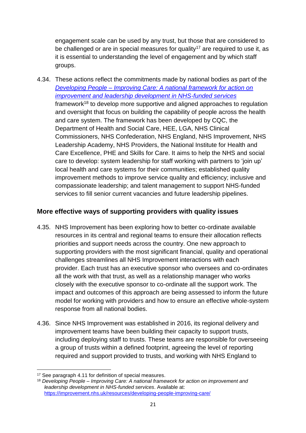engagement scale can be used by any trust, but those that are considered to be challenged or are in special measures for quality<sup>17</sup> are required to use it, as it is essential to understanding the level of engagement and by which staff groups.

4.34. These actions reflect the commitments made by national bodies as part of the *Developing People – [Improving Care: A national framework for action on](https://improvement.nhs.uk/resources/developing-people-improving-care/)  [improvement and leadership development in NHS-funded services](https://improvement.nhs.uk/resources/developing-people-improving-care/)* framework<sup>18</sup> to develop more supportive and aligned approaches to regulation and oversight that focus on building the capability of people across the health and care system. The framework has been developed by CQC, the Department of Health and Social Care, HEE, LGA, NHS Clinical Commissioners, NHS Confederation, NHS England, NHS Improvement, NHS Leadership Academy, NHS Providers, the National Institute for Health and Care Excellence, PHE and Skills for Care. It aims to help the NHS and social care to develop: system leadership for staff working with partners to 'join up' local health and care systems for their communities; established quality improvement methods to improve service quality and efficiency; inclusive and compassionate leadership; and talent management to support NHS-funded services to fill senior current vacancies and future leadership pipelines.

#### <span id="page-20-0"></span>**More effective ways of supporting providers with quality issues**

- 4.35. NHS Improvement has been exploring how to better co-ordinate available resources in its central and regional teams to ensure their allocation reflects priorities and support needs across the country. One new approach to supporting providers with the most significant financial, quality and operational challenges streamlines all NHS Improvement interactions with each provider. Each trust has an executive sponsor who oversees and co-ordinates all the work with that trust, as well as a relationship manager who works closely with the executive sponsor to co-ordinate all the support work. The impact and outcomes of this approach are being assessed to inform the future model for working with providers and how to ensure an effective whole-system response from all national bodies.
- 4.36. Since NHS Improvement was established in 2016, its regional delivery and improvement teams have been building their capacity to support trusts, including deploying staff to trusts. These teams are responsible for overseeing a group of trusts within a defined footprint, agreeing the level of reporting required and support provided to trusts, and working with NHS England to

**<sup>.</sup>** <sup>17</sup> See paragraph 4.11 for definition of special measures.

<sup>18</sup> *Developing People – Improving Care: A national framework for action on improvement and leadership development in NHS-funded services*. Available at: <https://improvement.nhs.uk/resources/developing-people-improving-care/>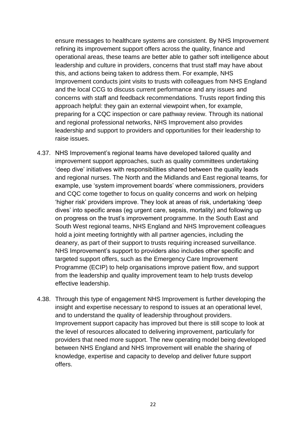ensure messages to healthcare systems are consistent. By NHS Improvement refining its improvement support offers across the quality, finance and operational areas, these teams are better able to gather soft intelligence about leadership and culture in providers, concerns that trust staff may have about this, and actions being taken to address them. For example, NHS Improvement conducts joint visits to trusts with colleagues from NHS England and the local CCG to discuss current performance and any issues and concerns with staff and feedback recommendations. Trusts report finding this approach helpful: they gain an external viewpoint when, for example, preparing for a CQC inspection or care pathway review. Through its national and regional professional networks, NHS Improvement also provides leadership and support to providers and opportunities for their leadership to raise issues.

- 4.37. NHS Improvement's regional teams have developed tailored quality and improvement support approaches, such as quality committees undertaking 'deep dive' initiatives with responsibilities shared between the quality leads and regional nurses. The North and the Midlands and East regional teams, for example, use 'system improvement boards' where commissioners, providers and CQC come together to focus on quality concerns and work on helping 'higher risk' providers improve. They look at areas of risk, undertaking 'deep dives' into specific areas (eg urgent care, sepsis, mortality) and following up on progress on the trust's improvement programme. In the South East and South West regional teams, NHS England and NHS Improvement colleagues hold a joint meeting fortnightly with all partner agencies, including the deanery, as part of their support to trusts requiring increased surveillance. NHS Improvement's support to providers also includes other specific and targeted support offers, such as the Emergency Care Improvement Programme (ECIP) to help organisations improve patient flow, and support from the leadership and quality improvement team to help trusts develop effective leadership.
- 4.38. Through this type of engagement NHS Improvement is further developing the insight and expertise necessary to respond to issues at an operational level, and to understand the quality of leadership throughout providers. Improvement support capacity has improved but there is still scope to look at the level of resources allocated to delivering improvement, particularly for providers that need more support. The new operating model being developed between NHS England and NHS Improvement will enable the sharing of knowledge, expertise and capacity to develop and deliver future support offers.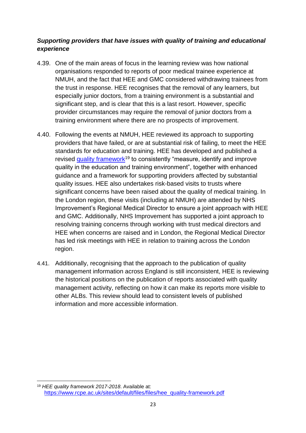#### *Supporting providers that have issues with quality of training and educational experience*

- 4.39. One of the main areas of focus in the learning review was how national organisations responded to reports of poor medical trainee experience at NMUH, and the fact that HEE and GMC considered withdrawing trainees from the trust in response. HEE recognises that the removal of any learners, but especially junior doctors, from a training environment is a substantial and significant step, and is clear that this is a last resort. However, specific provider circumstances may require the removal of junior doctors from a training environment where there are no prospects of improvement.
- 4.40. Following the events at NMUH, HEE reviewed its approach to supporting providers that have failed, or are at substantial risk of failing, to meet the HEE standards for education and training. HEE has developed and published a revised [quality framework](https://www.rcpe.ac.uk/sites/default/files/files/hee_quality-framework.pdf)<sup>19</sup> to consistently "measure, identify and improve quality in the education and training environment", together with enhanced guidance and a framework for supporting providers affected by substantial quality issues. HEE also undertakes risk-based visits to trusts where significant concerns have been raised about the quality of medical training. In the London region, these visits (including at NMUH) are attended by NHS Improvement's Regional Medical Director to ensure a joint approach with HEE and GMC. Additionally, NHS Improvement has supported a joint approach to resolving training concerns through working with trust medical directors and HEE when concerns are raised and in London, the Regional Medical Director has led risk meetings with HEE in relation to training across the London region.
- 4.41. Additionally, recognising that the approach to the publication of quality management information across England is still inconsistent, HEE is reviewing the historical positions on the publication of reports associated with quality management activity, reflecting on how it can make its reports more visible to other ALBs. This review should lead to consistent levels of published information and more accessible information.

<sup>1</sup> <sup>19</sup> *HEE quality framework 2017-2018*. Available at: [https://www.rcpe.ac.uk/sites/default/files/files/hee\\_quality-framework.pdf](https://www.rcpe.ac.uk/sites/default/files/files/hee_quality-framework.pdf)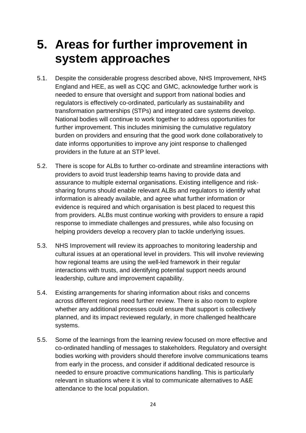### <span id="page-23-0"></span>**5. Areas for further improvement in system approaches**

- 5.1. Despite the considerable progress described above, NHS Improvement, NHS England and HEE, as well as CQC and GMC, acknowledge further work is needed to ensure that oversight and support from national bodies and regulators is effectively co-ordinated, particularly as sustainability and transformation partnerships (STPs) and integrated care systems develop. National bodies will continue to work together to address opportunities for further improvement. This includes minimising the cumulative regulatory burden on providers and ensuring that the good work done collaboratively to date informs opportunities to improve any joint response to challenged providers in the future at an STP level.
- 5.2. There is scope for ALBs to further co-ordinate and streamline interactions with providers to avoid trust leadership teams having to provide data and assurance to multiple external organisations. Existing intelligence and risksharing forums should enable relevant ALBs and regulators to identify what information is already available, and agree what further information or evidence is required and which organisation is best placed to request this from providers. ALBs must continue working with providers to ensure a rapid response to immediate challenges and pressures, while also focusing on helping providers develop a recovery plan to tackle underlying issues.
- 5.3. NHS Improvement will review its approaches to monitoring leadership and cultural issues at an operational level in providers. This will involve reviewing how regional teams are using the well-led framework in their regular interactions with trusts, and identifying potential support needs around leadership, culture and improvement capability.
- 5.4. Existing arrangements for sharing information about risks and concerns across different regions need further review. There is also room to explore whether any additional processes could ensure that support is collectively planned, and its impact reviewed regularly, in more challenged healthcare systems.
- 5.5. Some of the learnings from the learning review focused on more effective and co-ordinated handling of messages to stakeholders. Regulatory and oversight bodies working with providers should therefore involve communications teams from early in the process, and consider if additional dedicated resource is needed to ensure proactive communications handling. This is particularly relevant in situations where it is vital to communicate alternatives to A&E attendance to the local population.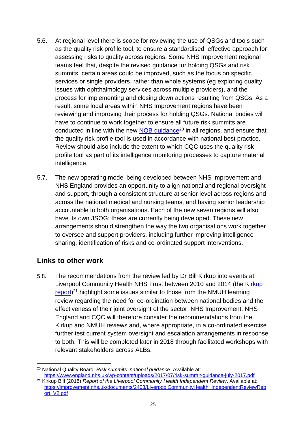- 5.6. At regional level there is scope for reviewing the use of QSGs and tools such as the quality risk profile tool, to ensure a standardised, effective approach for assessing risks to quality across regions. Some NHS Improvement regional teams feel that, despite the revised guidance for holding QSGs and risk summits, certain areas could be improved, such as the focus on specific services or single providers, rather than whole systems (eg exploring quality issues with ophthalmology services across multiple providers), and the process for implementing and closing down actions resulting from QSGs. As a result, some local areas within NHS Improvement regions have been reviewing and improving their process for holding QSGs. National bodies will have to continue to work together to ensure all future risk summits are conducted in line with the new  $NQB$  guidance<sup>20</sup> in all regions, and ensure that the quality risk profile tool is used in accordance with national best practice. Review should also include the extent to which CQC uses the quality risk profile tool as part of its intelligence monitoring processes to capture material intelligence.
- 5.7. The new operating model being developed between NHS Improvement and NHS England provides an opportunity to align national and regional oversight and support, through a consistent structure at senior level across regions and across the national medical and nursing teams, and having senior leadership accountable to both organisations. Each of the new seven regions will also have its own JSOG; these are currently being developed. These new arrangements should strengthen the way the two organisations work together to oversee and support providers, including further improving intelligence sharing, identification of risks and co-ordinated support interventions.

#### **Links to other work**

5.8. The recommendations from the review led by Dr Bill Kirkup into events at Liverpool Community Health NHS Trust between 2010 and 2014 (the [Kirkup](https://improvement.nhs.uk/documents/2403/LiverpoolCommunityHealth_IndependentReviewReport_V2.pdf)  [report](https://improvement.nhs.uk/documents/2403/LiverpoolCommunityHealth_IndependentReviewReport_V2.pdf))<sup>21</sup> highlight some issues similar to those from the NMUH learning review regarding the need for co-ordination between national bodies and the effectiveness of their joint oversight of the sector. NHS Improvement, NHS England and CQC will therefore consider the recommendations from the Kirkup and NMUH reviews and, where appropriate, in a co-ordinated exercise further test current system oversight and escalation arrangements in response to both. This will be completed later in 2018 through facilitated workshops with relevant stakeholders across ALBs.

<sup>1</sup> <sup>20</sup> National Quality Board. *Risk summits: national guidance*. Available at: <https://www.england.nhs.uk/wp-content/uploads/2017/07/risk-summit-guidance-july-2017.pdf>

<sup>21</sup> Kirkup Bill (2018) *Report of the Liverpool Community Health Independent Review*. Available at: [https://improvement.nhs.uk/documents/2403/LiverpoolCommunityHealth\\_IndependentReviewRep](https://improvement.nhs.uk/documents/2403/LiverpoolCommunityHealth_IndependentReviewReport_V2.pdf) [ort\\_V2.pdf](https://improvement.nhs.uk/documents/2403/LiverpoolCommunityHealth_IndependentReviewReport_V2.pdf)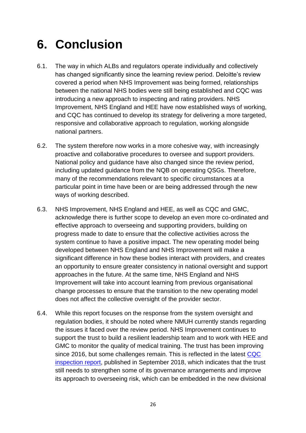### <span id="page-25-0"></span>**6. Conclusion**

- 6.1. The way in which ALBs and regulators operate individually and collectively has changed significantly since the learning review period. Deloitte's review covered a period when NHS Improvement was being formed, relationships between the national NHS bodies were still being established and CQC was introducing a new approach to inspecting and rating providers. NHS Improvement, NHS England and HEE have now established ways of working, and CQC has continued to develop its strategy for delivering a more targeted, responsive and collaborative approach to regulation, working alongside national partners.
- 6.2. The system therefore now works in a more cohesive way, with increasingly proactive and collaborative procedures to oversee and support providers. National policy and guidance have also changed since the review period, including updated guidance from the NQB on operating QSGs. Therefore, many of the recommendations relevant to specific circumstances at a particular point in time have been or are being addressed through the new ways of working described.
- 6.3. NHS Improvement, NHS England and HEE, as well as CQC and GMC, acknowledge there is further scope to develop an even more co-ordinated and effective approach to overseeing and supporting providers, building on progress made to date to ensure that the collective activities across the system continue to have a positive impact. The new operating model being developed between NHS England and NHS Improvement will make a significant difference in how these bodies interact with providers, and creates an opportunity to ensure greater consistency in national oversight and support approaches in the future. At the same time, NHS England and NHS Improvement will take into account learning from previous organisational change processes to ensure that the transition to the new operating model does not affect the collective oversight of the provider sector.
- 6.4. While this report focuses on the response from the system oversight and regulation bodies, it should be noted where NMUH currently stands regarding the issues it faced over the review period. NHS Improvement continues to support the trust to build a resilient leadership team and to work with HEE and GMC to monitor the quality of medical training. The trust has been improving since 2016, but some challenges remain. This is reflected in the latest CQC [inspection report,](https://www.cqc.org.uk/provider/RAP/reports) published in September 2018, which indicates that the trust still needs to strengthen some of its governance arrangements and improve its approach to overseeing risk, which can be embedded in the new divisional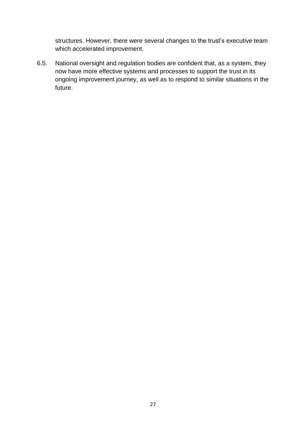structures. However, there were several changes to the trust's executive team which accelerated improvement.

6.5. National oversight and regulation bodies are confident that, as a system, they now have more effective systems and processes to support the trust in its ongoing improvement journey, as well as to respond to similar situations in the future.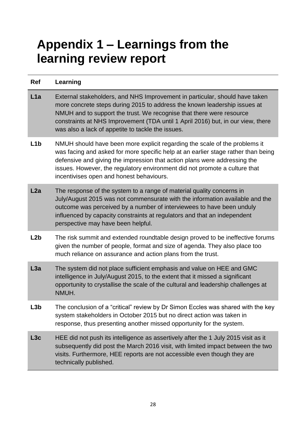### <span id="page-27-0"></span>**Appendix 1 – Learnings from the learning review report**

| Ref              | Learning                                                                                                                                                                                                                                                                                                                                                                 |
|------------------|--------------------------------------------------------------------------------------------------------------------------------------------------------------------------------------------------------------------------------------------------------------------------------------------------------------------------------------------------------------------------|
| L1a              | External stakeholders, and NHS Improvement in particular, should have taken<br>more concrete steps during 2015 to address the known leadership issues at<br>NMUH and to support the trust. We recognise that there were resource<br>constraints at NHS Improvement (TDA until 1 April 2016) but, in our view, there<br>was also a lack of appetite to tackle the issues. |
| L <sub>1</sub> b | NMUH should have been more explicit regarding the scale of the problems it<br>was facing and asked for more specific help at an earlier stage rather than being<br>defensive and giving the impression that action plans were addressing the<br>issues. However, the regulatory environment did not promote a culture that<br>incentivises open and honest behaviours.   |
| L2a              | The response of the system to a range of material quality concerns in<br>July/August 2015 was not commensurate with the information available and the<br>outcome was perceived by a number of interviewees to have been unduly<br>influenced by capacity constraints at regulators and that an independent<br>perspective may have been helpful.                         |
| L2b              | The risk summit and extended roundtable design proved to be ineffective forums<br>given the number of people, format and size of agenda. They also place too<br>much reliance on assurance and action plans from the trust.                                                                                                                                              |
| L3a              | The system did not place sufficient emphasis and value on HEE and GMC<br>intelligence in July/August 2015, to the extent that it missed a significant<br>opportunity to crystallise the scale of the cultural and leadership challenges at<br>NMUH.                                                                                                                      |
| .3b              | The conclusion of a "critical" review by Dr Simon Eccles was shared with the key<br>system stakeholders in October 2015 but no direct action was taken in<br>response, thus presenting another missed opportunity for the system.                                                                                                                                        |
| L3c              | HEE did not push its intelligence as assertively after the 1 July 2015 visit as it<br>subsequently did post the March 2016 visit, with limited impact between the two<br>visits. Furthermore, HEE reports are not accessible even though they are<br>technically published.                                                                                              |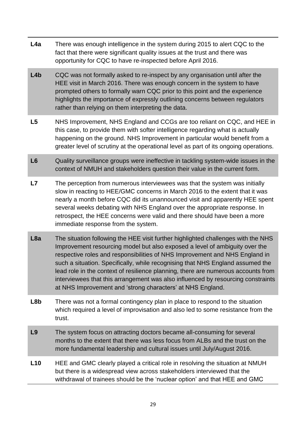- **L4a** There was enough intelligence in the system during 2015 to alert CQC to the fact that there were significant quality issues at the trust and there was opportunity for CQC to have re-inspected before April 2016.
- **L4b** CQC was not formally asked to re-inspect by any organisation until after the HEE visit in March 2016. There was enough concern in the system to have prompted others to formally warn CQC prior to this point and the experience highlights the importance of expressly outlining concerns between regulators rather than relying on them interpreting the data.
- **L5** NHS Improvement, NHS England and CCGs are too reliant on CQC, and HEE in this case, to provide them with softer intelligence regarding what is actually happening on the ground. NHS Improvement in particular would benefit from a greater level of scrutiny at the operational level as part of its ongoing operations.
- **L6** Quality surveillance groups were ineffective in tackling system-wide issues in the context of NMUH and stakeholders question their value in the current form.
- **L7** The perception from numerous interviewees was that the system was initially slow in reacting to HEE/GMC concerns in March 2016 to the extent that it was nearly a month before CQC did its unannounced visit and apparently HEE spent several weeks debating with NHS England over the appropriate response. In retrospect, the HEE concerns were valid and there should have been a more immediate response from the system.
- **L8a** The situation following the HEE visit further highlighted challenges with the NHS Improvement resourcing model but also exposed a level of ambiguity over the respective roles and responsibilities of NHS Improvement and NHS England in such a situation. Specifically, while recognising that NHS England assumed the lead role in the context of resilience planning, there are numerous accounts from interviewees that this arrangement was also influenced by resourcing constraints at NHS Improvement and 'strong characters' at NHS England.
- **L8b** There was not a formal contingency plan in place to respond to the situation which required a level of improvisation and also led to some resistance from the trust.
- **L9** The system focus on attracting doctors became all-consuming for several months to the extent that there was less focus from ALBs and the trust on the more fundamental leadership and cultural issues until July/August 2016.
- **L10** HEE and GMC clearly played a critical role in resolving the situation at NMUH but there is a widespread view across stakeholders interviewed that the withdrawal of trainees should be the 'nuclear option' and that HEE and GMC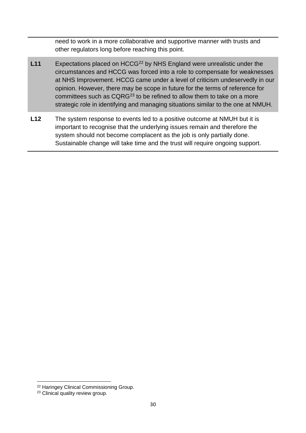need to work in a more collaborative and supportive manner with trusts and other regulators long before reaching this point.

- L11 Expectations placed on HCCG<sup>22</sup> by NHS England were unrealistic under the circumstances and HCCG was forced into a role to compensate for weaknesses at NHS Improvement. HCCG came under a level of criticism undeservedly in our opinion. However, there may be scope in future for the terms of reference for committees such as CQRG<sup>23</sup> to be refined to allow them to take on a more strategic role in identifying and managing situations similar to the one at NMUH.
- **L12** The system response to events led to a positive outcome at NMUH but it is important to recognise that the underlying issues remain and therefore the system should not become complacent as the job is only partially done. Sustainable change will take time and the trust will require ongoing support.

1

<sup>22</sup> Haringey Clinical Commissioning Group.

<sup>&</sup>lt;sup>23</sup> Clinical quality review group.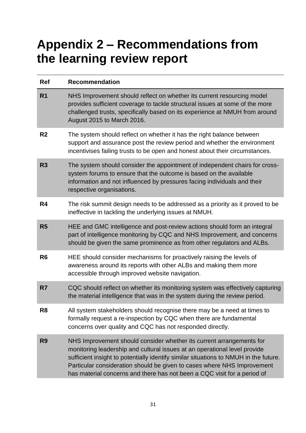# <span id="page-30-0"></span>**Appendix 2 – Recommendations from the learning review report**

| <b>Ref</b>     | <b>Recommendation</b>                                                                                                                                                                                                                                                                                                                                                                            |
|----------------|--------------------------------------------------------------------------------------------------------------------------------------------------------------------------------------------------------------------------------------------------------------------------------------------------------------------------------------------------------------------------------------------------|
| R <sub>1</sub> | NHS Improvement should reflect on whether its current resourcing model<br>provides sufficient coverage to tackle structural issues at some of the more<br>challenged trusts, specifically based on its experience at NMUH from around<br>August 2015 to March 2016.                                                                                                                              |
| R <sub>2</sub> | The system should reflect on whether it has the right balance between<br>support and assurance post the review period and whether the environment<br>incentivises failing trusts to be open and honest about their circumstances.                                                                                                                                                                |
| R <sub>3</sub> | The system should consider the appointment of independent chairs for cross-<br>system forums to ensure that the outcome is based on the available<br>information and not influenced by pressures facing individuals and their<br>respective organisations.                                                                                                                                       |
| R4             | The risk summit design needs to be addressed as a priority as it proved to be<br>ineffective in tackling the underlying issues at NMUH.                                                                                                                                                                                                                                                          |
| R <sub>5</sub> | HEE and GMC intelligence and post-review actions should form an integral<br>part of intelligence monitoring by CQC and NHS Improvement, and concerns<br>should be given the same prominence as from other regulators and ALBs.                                                                                                                                                                   |
| R <sub>6</sub> | HEE should consider mechanisms for proactively raising the levels of<br>awareness around its reports with other ALBs and making them more<br>accessible through improved website navigation.                                                                                                                                                                                                     |
| R7             | CQC should reflect on whether its monitoring system was effectively capturing<br>the material intelligence that was in the system during the review period.                                                                                                                                                                                                                                      |
| R <sub>8</sub> | All system stakeholders should recognise there may be a need at times to<br>formally request a re-inspection by CQC when there are fundamental<br>concerns over quality and CQC has not responded directly.                                                                                                                                                                                      |
| R <sub>9</sub> | NHS Improvement should consider whether its current arrangements for<br>monitoring leadership and cultural issues at an operational level provide<br>sufficient insight to potentially identify similar situations to NMUH in the future.<br>Particular consideration should be given to cases where NHS Improvement<br>has material concerns and there has not been a CQC visit for a period of |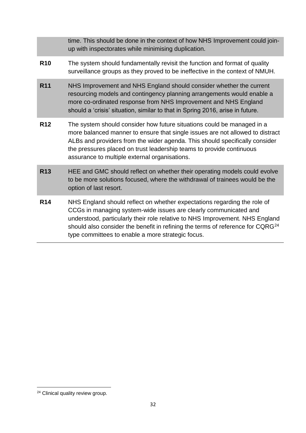|            | time. This should be done in the context of how NHS Improvement could join-<br>up with inspectorates while minimising duplication.                                                                                                                                                                                                                                              |
|------------|---------------------------------------------------------------------------------------------------------------------------------------------------------------------------------------------------------------------------------------------------------------------------------------------------------------------------------------------------------------------------------|
| <b>R10</b> | The system should fundamentally revisit the function and format of quality<br>surveillance groups as they proved to be ineffective in the context of NMUH.                                                                                                                                                                                                                      |
| <b>R11</b> | NHS Improvement and NHS England should consider whether the current<br>resourcing models and contingency planning arrangements would enable a<br>more co-ordinated response from NHS Improvement and NHS England<br>should a 'crisis' situation, similar to that in Spring 2016, arise in future.                                                                               |
| <b>R12</b> | The system should consider how future situations could be managed in a<br>more balanced manner to ensure that single issues are not allowed to distract<br>ALBs and providers from the wider agenda. This should specifically consider<br>the pressures placed on trust leadership teams to provide continuous<br>assurance to multiple external organisations.                 |
| <b>R13</b> | HEE and GMC should reflect on whether their operating models could evolve<br>to be more solutions focused, where the withdrawal of trainees would be the<br>option of last resort.                                                                                                                                                                                              |
| <b>R14</b> | NHS England should reflect on whether expectations regarding the role of<br>CCGs in managing system-wide issues are clearly communicated and<br>understood, particularly their role relative to NHS Improvement. NHS England<br>should also consider the benefit in refining the terms of reference for CQRG <sup>24</sup><br>type committees to enable a more strategic focus. |

**<sup>.</sup>** <sup>24</sup> Clinical quality review group.